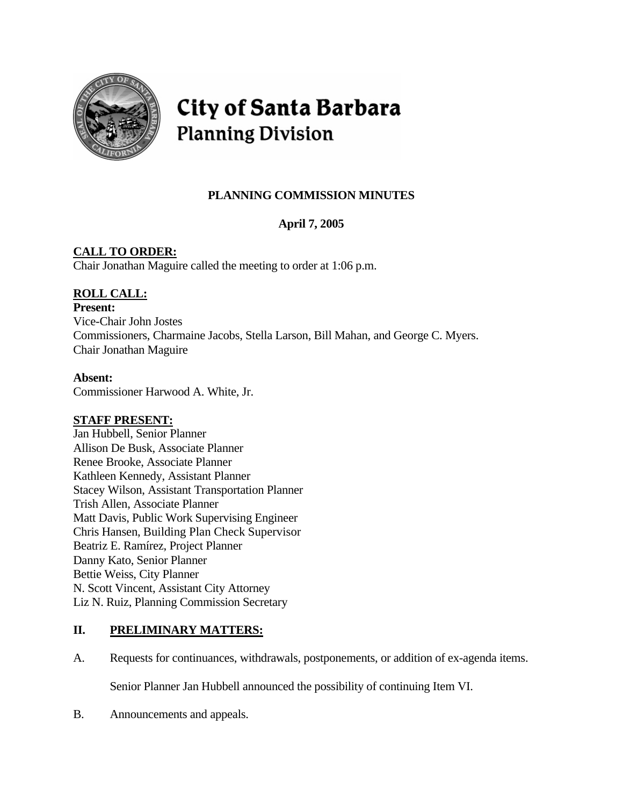

# City of Santa Barbara **Planning Division**

# **PLANNING COMMISSION MINUTES**

# **April 7, 2005**

# **CALL TO ORDER:**

Chair Jonathan Maguire called the meeting to order at 1:06 p.m.

# **ROLL CALL:**

**Present:** Vice-Chair John Jostes Commissioners, Charmaine Jacobs, Stella Larson, Bill Mahan, and George C. Myers. Chair Jonathan Maguire

# **Absent:**

Commissioner Harwood A. White, Jr.

# **STAFF PRESENT:**

Jan Hubbell, Senior Planner Allison De Busk, Associate Planner Renee Brooke, Associate Planner Kathleen Kennedy, Assistant Planner Stacey Wilson, Assistant Transportation Planner Trish Allen, Associate Planner Matt Davis, Public Work Supervising Engineer Chris Hansen, Building Plan Check Supervisor Beatriz E. Ramírez, Project Planner Danny Kato, Senior Planner Bettie Weiss, City Planner N. Scott Vincent, Assistant City Attorney Liz N. Ruiz, Planning Commission Secretary

# **II. PRELIMINARY MATTERS:**

A. Requests for continuances, withdrawals, postponements, or addition of ex-agenda items.

Senior Planner Jan Hubbell announced the possibility of continuing Item VI.

B. Announcements and appeals.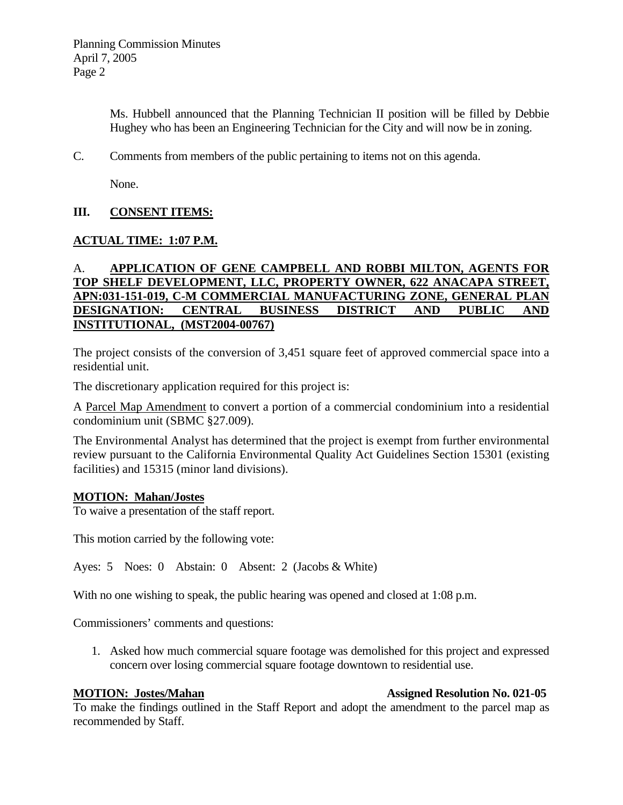Ms. Hubbell announced that the Planning Technician II position will be filled by Debbie Hughey who has been an Engineering Technician for the City and will now be in zoning.

C. Comments from members of the public pertaining to items not on this agenda.

None.

# **III. CONSENT ITEMS:**

# **ACTUAL TIME: 1:07 P.M.**

# A. **APPLICATION OF GENE CAMPBELL AND ROBBI MILTON, AGENTS FOR TOP SHELF DEVELOPMENT, LLC, PROPERTY OWNER, 622 ANACAPA STREET, APN:031-151-019, C-M COMMERCIAL MANUFACTURING ZONE, GENERAL PLAN DESIGNATION: CENTRAL BUSINESS DISTRICT AND PUBLIC AND INSTITUTIONAL, (MST2004-00767)**

The project consists of the conversion of 3,451 square feet of approved commercial space into a residential unit.

The discretionary application required for this project is:

A Parcel Map Amendment to convert a portion of a commercial condominium into a residential condominium unit (SBMC §27.009).

The Environmental Analyst has determined that the project is exempt from further environmental review pursuant to the California Environmental Quality Act Guidelines Section 15301 (existing facilities) and 15315 (minor land divisions).

#### **MOTION: Mahan/Jostes**

To waive a presentation of the staff report.

This motion carried by the following vote:

Ayes: 5 Noes: 0 Abstain: 0 Absent: 2 (Jacobs & White)

With no one wishing to speak, the public hearing was opened and closed at 1:08 p.m.

Commissioners' comments and questions:

1. Asked how much commercial square footage was demolished for this project and expressed concern over losing commercial square footage downtown to residential use.

To make the findings outlined in the Staff Report and adopt the amendment to the parcel map as recommended by Staff.

# **MOTION: Jostes/Mahan Assigned Resolution No. 021-05**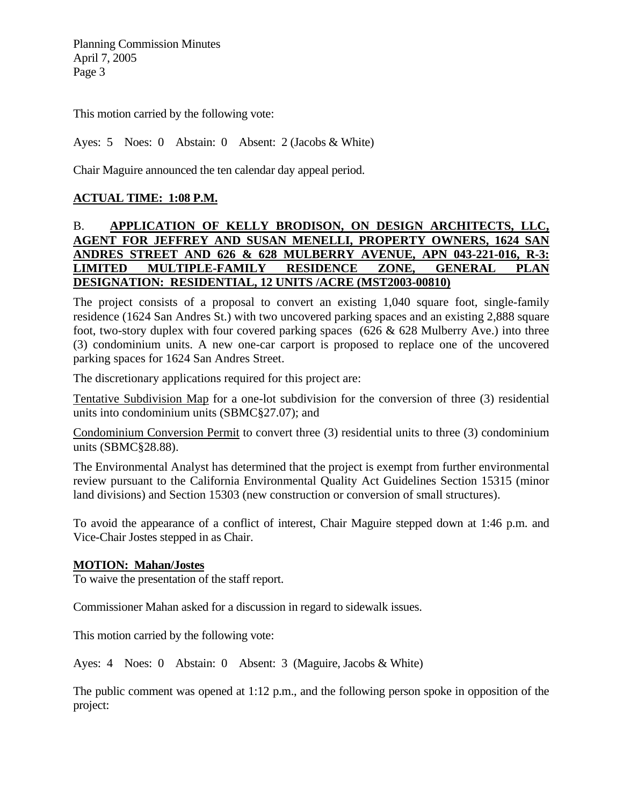This motion carried by the following vote:

Ayes: 5 Noes: 0 Abstain: 0 Absent: 2 (Jacobs & White)

Chair Maguire announced the ten calendar day appeal period.

# **ACTUAL TIME: 1:08 P.M.**

# B. **APPLICATION OF KELLY BRODISON, ON DESIGN ARCHITECTS, LLC, AGENT FOR JEFFREY AND SUSAN MENELLI, PROPERTY OWNERS, 1624 SAN ANDRES STREET AND 626 & 628 MULBERRY AVENUE, APN 043-221-016, R-3: LIMITED MULTIPLE-FAMILY RESIDENCE ZONE, GENERAL PLAN DESIGNATION: RESIDENTIAL, 12 UNITS /ACRE (MST2003-00810)**

The project consists of a proposal to convert an existing 1,040 square foot, single-family residence (1624 San Andres St.) with two uncovered parking spaces and an existing 2,888 square foot, two-story duplex with four covered parking spaces ( $626 \& 628$  Mulberry Ave.) into three (3) condominium units. A new one-car carport is proposed to replace one of the uncovered parking spaces for 1624 San Andres Street.

The discretionary applications required for this project are:

Tentative Subdivision Map for a one-lot subdivision for the conversion of three (3) residential units into condominium units (SBMC§27.07); and

Condominium Conversion Permit to convert three (3) residential units to three (3) condominium units (SBMC§28.88).

The Environmental Analyst has determined that the project is exempt from further environmental review pursuant to the California Environmental Quality Act Guidelines Section 15315 (minor land divisions) and Section 15303 (new construction or conversion of small structures).

To avoid the appearance of a conflict of interest, Chair Maguire stepped down at 1:46 p.m. and Vice-Chair Jostes stepped in as Chair.

#### **MOTION: Mahan/Jostes**

To waive the presentation of the staff report.

Commissioner Mahan asked for a discussion in regard to sidewalk issues.

This motion carried by the following vote:

Ayes: 4 Noes: 0 Abstain: 0 Absent: 3 (Maguire, Jacobs & White)

The public comment was opened at 1:12 p.m., and the following person spoke in opposition of the project: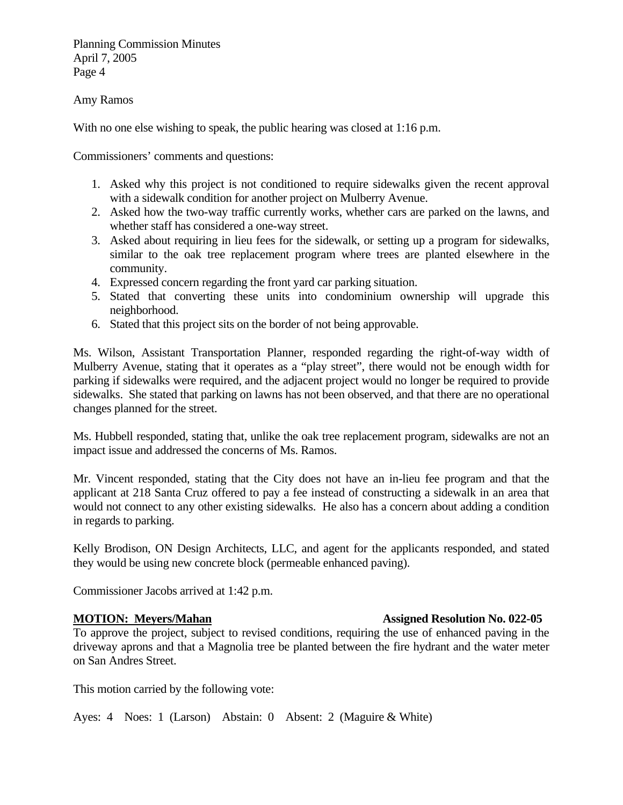#### Amy Ramos

With no one else wishing to speak, the public hearing was closed at 1:16 p.m.

Commissioners' comments and questions:

- 1. Asked why this project is not conditioned to require sidewalks given the recent approval with a sidewalk condition for another project on Mulberry Avenue.
- 2. Asked how the two-way traffic currently works, whether cars are parked on the lawns, and whether staff has considered a one-way street.
- 3. Asked about requiring in lieu fees for the sidewalk, or setting up a program for sidewalks, similar to the oak tree replacement program where trees are planted elsewhere in the community.
- 4. Expressed concern regarding the front yard car parking situation.
- 5. Stated that converting these units into condominium ownership will upgrade this neighborhood.
- 6. Stated that this project sits on the border of not being approvable.

Ms. Wilson, Assistant Transportation Planner, responded regarding the right-of-way width of Mulberry Avenue, stating that it operates as a "play street", there would not be enough width for parking if sidewalks were required, and the adjacent project would no longer be required to provide sidewalks. She stated that parking on lawns has not been observed, and that there are no operational changes planned for the street.

Ms. Hubbell responded, stating that, unlike the oak tree replacement program, sidewalks are not an impact issue and addressed the concerns of Ms. Ramos.

Mr. Vincent responded, stating that the City does not have an in-lieu fee program and that the applicant at 218 Santa Cruz offered to pay a fee instead of constructing a sidewalk in an area that would not connect to any other existing sidewalks. He also has a concern about adding a condition in regards to parking.

Kelly Brodison, ON Design Architects, LLC, and agent for the applicants responded, and stated they would be using new concrete block (permeable enhanced paving).

Commissioner Jacobs arrived at 1:42 p.m.

To approve the project, subject to revised conditions, requiring the use of enhanced paving in the driveway aprons and that a Magnolia tree be planted between the fire hydrant and the water meter on San Andres Street.

This motion carried by the following vote:

Ayes: 4 Noes: 1 (Larson) Abstain: 0 Absent: 2 (Maguire & White)

#### **MOTION: Meyers/Mahan Assigned Resolution No. 022-05**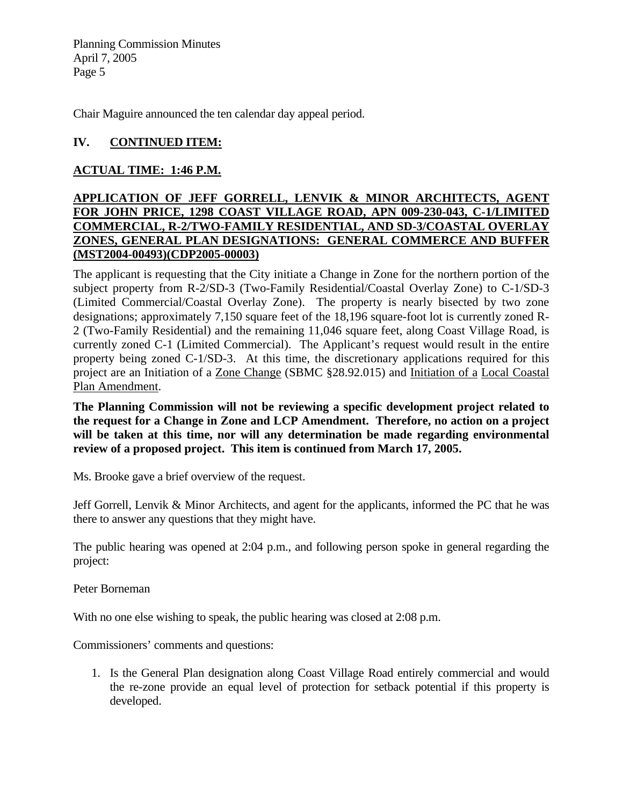Chair Maguire announced the ten calendar day appeal period.

# **IV. CONTINUED ITEM:**

# **ACTUAL TIME: 1:46 P.M.**

### **APPLICATION OF JEFF GORRELL, LENVIK & MINOR ARCHITECTS, AGENT FOR JOHN PRICE, 1298 COAST VILLAGE ROAD, APN 009-230-043, C-1/LIMITED COMMERCIAL, R-2/TWO-FAMILY RESIDENTIAL, AND SD-3/COASTAL OVERLAY ZONES, GENERAL PLAN DESIGNATIONS: GENERAL COMMERCE AND BUFFER (MST2004-00493)(CDP2005-00003)**

The applicant is requesting that the City initiate a Change in Zone for the northern portion of the subject property from R-2/SD-3 (Two-Family Residential/Coastal Overlay Zone) to C-1/SD-3 (Limited Commercial/Coastal Overlay Zone). The property is nearly bisected by two zone designations; approximately 7,150 square feet of the 18,196 square-foot lot is currently zoned R-2 (Two-Family Residential) and the remaining 11,046 square feet, along Coast Village Road, is currently zoned C-1 (Limited Commercial). The Applicant's request would result in the entire property being zoned C-1/SD-3. At this time, the discretionary applications required for this project are an Initiation of a Zone Change (SBMC §28.92.015) and Initiation of a Local Coastal Plan Amendment.

**The Planning Commission will not be reviewing a specific development project related to the request for a Change in Zone and LCP Amendment. Therefore, no action on a project will be taken at this time, nor will any determination be made regarding environmental review of a proposed project. This item is continued from March 17, 2005.** 

Ms. Brooke gave a brief overview of the request.

Jeff Gorrell, Lenvik & Minor Architects, and agent for the applicants, informed the PC that he was there to answer any questions that they might have.

The public hearing was opened at 2:04 p.m., and following person spoke in general regarding the project:

Peter Borneman

With no one else wishing to speak, the public hearing was closed at 2:08 p.m.

Commissioners' comments and questions:

1. Is the General Plan designation along Coast Village Road entirely commercial and would the re-zone provide an equal level of protection for setback potential if this property is developed.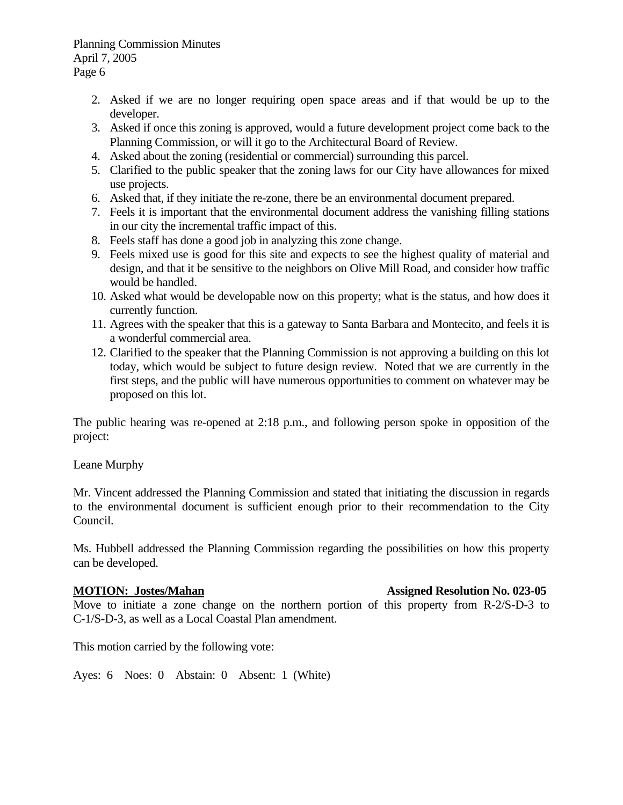- 2. Asked if we are no longer requiring open space areas and if that would be up to the developer.
- 3. Asked if once this zoning is approved, would a future development project come back to the Planning Commission, or will it go to the Architectural Board of Review.
- 4. Asked about the zoning (residential or commercial) surrounding this parcel.
- 5. Clarified to the public speaker that the zoning laws for our City have allowances for mixed use projects.
- 6. Asked that, if they initiate the re-zone, there be an environmental document prepared.
- 7. Feels it is important that the environmental document address the vanishing filling stations in our city the incremental traffic impact of this.
- 8. Feels staff has done a good job in analyzing this zone change.
- 9. Feels mixed use is good for this site and expects to see the highest quality of material and design, and that it be sensitive to the neighbors on Olive Mill Road, and consider how traffic would be handled.
- 10. Asked what would be developable now on this property; what is the status, and how does it currently function.
- 11. Agrees with the speaker that this is a gateway to Santa Barbara and Montecito, and feels it is a wonderful commercial area.
- 12. Clarified to the speaker that the Planning Commission is not approving a building on this lot today, which would be subject to future design review. Noted that we are currently in the first steps, and the public will have numerous opportunities to comment on whatever may be proposed on this lot.

The public hearing was re-opened at 2:18 p.m., and following person spoke in opposition of the project:

Leane Murphy

Mr. Vincent addressed the Planning Commission and stated that initiating the discussion in regards to the environmental document is sufficient enough prior to their recommendation to the City Council.

Ms. Hubbell addressed the Planning Commission regarding the possibilities on how this property can be developed.

Move to initiate a zone change on the northern portion of this property from R-2/S-D-3 to C-1/S-D-3, as well as a Local Coastal Plan amendment.

This motion carried by the following vote:

Ayes: 6 Noes: 0 Abstain: 0 Absent: 1 (White)

# **MOTION: Jostes/Mahan Assigned Resolution No. 023-05**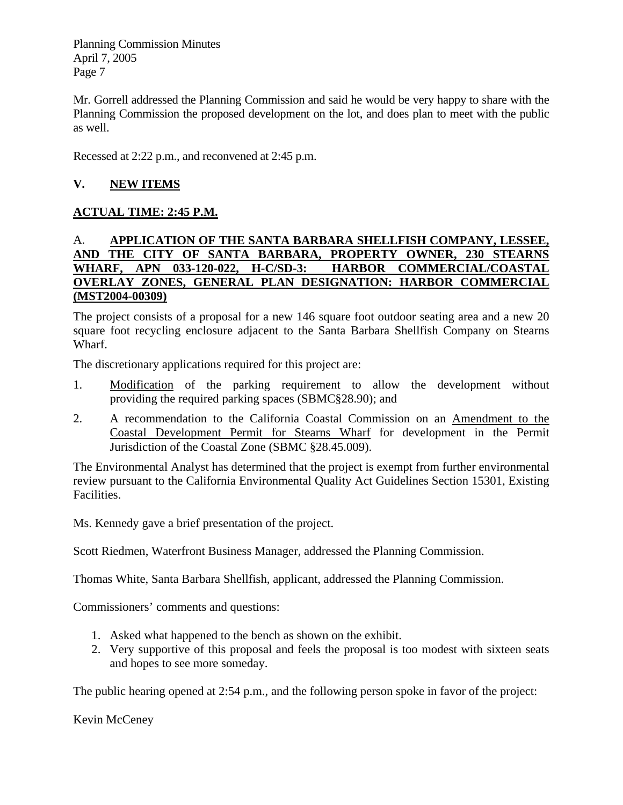Mr. Gorrell addressed the Planning Commission and said he would be very happy to share with the Planning Commission the proposed development on the lot, and does plan to meet with the public as well.

Recessed at 2:22 p.m., and reconvened at 2:45 p.m.

# **V. NEW ITEMS**

# **ACTUAL TIME: 2:45 P.M.**

# A. **APPLICATION OF THE SANTA BARBARA SHELLFISH COMPANY, LESSEE, AND THE CITY OF SANTA BARBARA, PROPERTY OWNER, 230 STEARNS WHARF, APN 033-120-022, H-C/SD-3: HARBOR COMMERCIAL/COASTAL OVERLAY ZONES, GENERAL PLAN DESIGNATION: HARBOR COMMERCIAL (MST2004-00309)**

The project consists of a proposal for a new 146 square foot outdoor seating area and a new 20 square foot recycling enclosure adjacent to the Santa Barbara Shellfish Company on Stearns Wharf.

The discretionary applications required for this project are:

- 1. Modification of the parking requirement to allow the development without providing the required parking spaces (SBMC§28.90); and
- 2. A recommendation to the California Coastal Commission on an Amendment to the Coastal Development Permit for Stearns Wharf for development in the Permit Jurisdiction of the Coastal Zone (SBMC §28.45.009).

The Environmental Analyst has determined that the project is exempt from further environmental review pursuant to the California Environmental Quality Act Guidelines Section 15301, Existing Facilities.

Ms. Kennedy gave a brief presentation of the project.

Scott Riedmen, Waterfront Business Manager, addressed the Planning Commission.

Thomas White, Santa Barbara Shellfish, applicant, addressed the Planning Commission.

Commissioners' comments and questions:

- 1. Asked what happened to the bench as shown on the exhibit.
- 2. Very supportive of this proposal and feels the proposal is too modest with sixteen seats and hopes to see more someday.

The public hearing opened at 2:54 p.m., and the following person spoke in favor of the project:

Kevin McCeney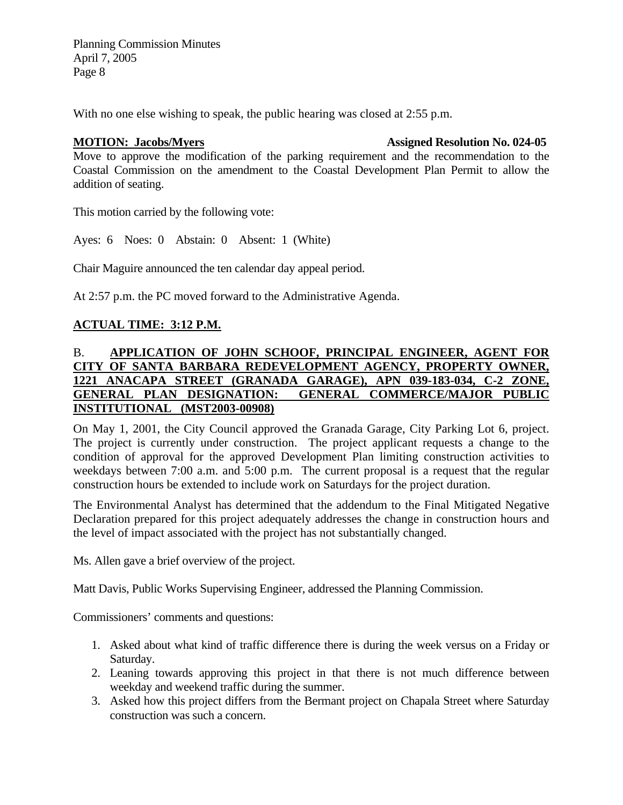With no one else wishing to speak, the public hearing was closed at 2:55 p.m.

#### **MOTION: Jacobs/Myers Community Assigned Resolution No. 024-05**

Move to approve the modification of the parking requirement and the recommendation to the Coastal Commission on the amendment to the Coastal Development Plan Permit to allow the addition of seating.

This motion carried by the following vote:

Ayes: 6 Noes: 0 Abstain: 0 Absent: 1 (White)

Chair Maguire announced the ten calendar day appeal period.

At 2:57 p.m. the PC moved forward to the Administrative Agenda.

# **ACTUAL TIME: 3:12 P.M.**

# B. **APPLICATION OF JOHN SCHOOF, PRINCIPAL ENGINEER, AGENT FOR CITY OF SANTA BARBARA REDEVELOPMENT AGENCY, PROPERTY OWNER, 1221 ANACAPA STREET (GRANADA GARAGE), APN 039-183-034, C-2 ZONE, GENERAL PLAN DESIGNATION: GENERAL COMMERCE/MAJOR PUBLIC INSTITUTIONAL (MST2003-00908)**

On May 1, 2001, the City Council approved the Granada Garage, City Parking Lot 6, project. The project is currently under construction. The project applicant requests a change to the condition of approval for the approved Development Plan limiting construction activities to weekdays between 7:00 a.m. and 5:00 p.m. The current proposal is a request that the regular construction hours be extended to include work on Saturdays for the project duration.

The Environmental Analyst has determined that the addendum to the Final Mitigated Negative Declaration prepared for this project adequately addresses the change in construction hours and the level of impact associated with the project has not substantially changed.

Ms. Allen gave a brief overview of the project.

Matt Davis, Public Works Supervising Engineer, addressed the Planning Commission.

Commissioners' comments and questions:

- 1. Asked about what kind of traffic difference there is during the week versus on a Friday or Saturday.
- 2. Leaning towards approving this project in that there is not much difference between weekday and weekend traffic during the summer.
- 3. Asked how this project differs from the Bermant project on Chapala Street where Saturday construction was such a concern.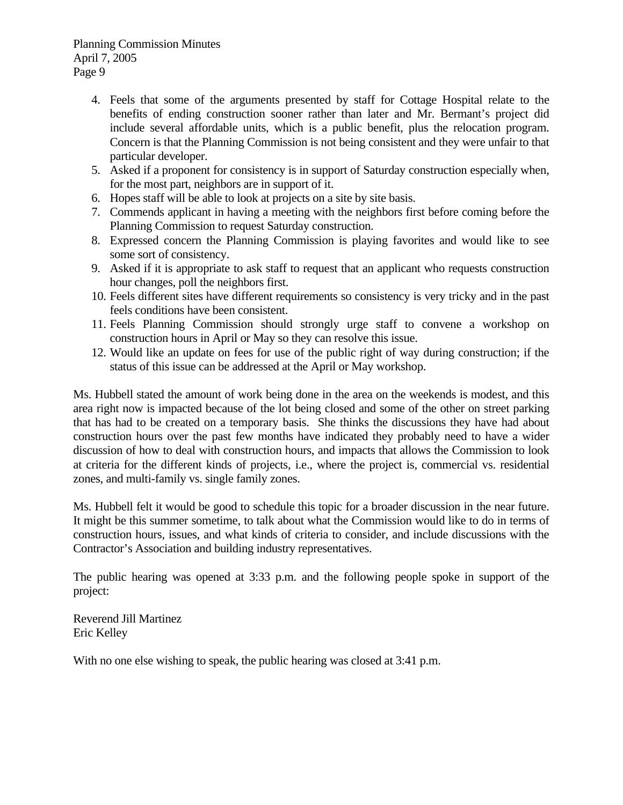- 4. Feels that some of the arguments presented by staff for Cottage Hospital relate to the benefits of ending construction sooner rather than later and Mr. Bermant's project did include several affordable units, which is a public benefit, plus the relocation program. Concern is that the Planning Commission is not being consistent and they were unfair to that particular developer.
- 5. Asked if a proponent for consistency is in support of Saturday construction especially when, for the most part, neighbors are in support of it.
- 6. Hopes staff will be able to look at projects on a site by site basis.
- 7. Commends applicant in having a meeting with the neighbors first before coming before the Planning Commission to request Saturday construction.
- 8. Expressed concern the Planning Commission is playing favorites and would like to see some sort of consistency.
- 9. Asked if it is appropriate to ask staff to request that an applicant who requests construction hour changes, poll the neighbors first.
- 10. Feels different sites have different requirements so consistency is very tricky and in the past feels conditions have been consistent.
- 11. Feels Planning Commission should strongly urge staff to convene a workshop on construction hours in April or May so they can resolve this issue.
- 12. Would like an update on fees for use of the public right of way during construction; if the status of this issue can be addressed at the April or May workshop.

Ms. Hubbell stated the amount of work being done in the area on the weekends is modest, and this area right now is impacted because of the lot being closed and some of the other on street parking that has had to be created on a temporary basis. She thinks the discussions they have had about construction hours over the past few months have indicated they probably need to have a wider discussion of how to deal with construction hours, and impacts that allows the Commission to look at criteria for the different kinds of projects, i.e., where the project is, commercial vs. residential zones, and multi-family vs. single family zones.

Ms. Hubbell felt it would be good to schedule this topic for a broader discussion in the near future. It might be this summer sometime, to talk about what the Commission would like to do in terms of construction hours, issues, and what kinds of criteria to consider, and include discussions with the Contractor's Association and building industry representatives.

The public hearing was opened at 3:33 p.m. and the following people spoke in support of the project:

Reverend Jill Martinez Eric Kelley

With no one else wishing to speak, the public hearing was closed at 3:41 p.m.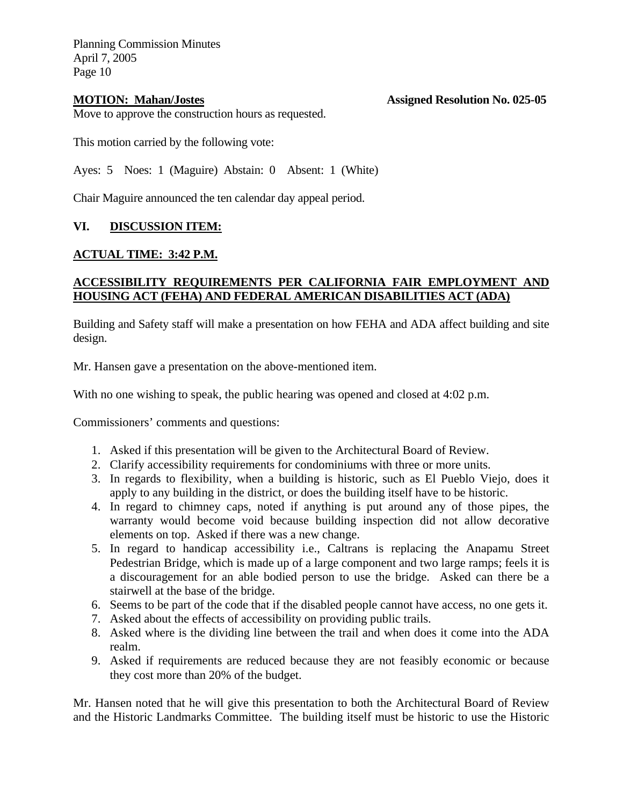**MOTION: Mahan/Jostes Assigned Resolution No. 025-05** 

Move to approve the construction hours as requested.

This motion carried by the following vote:

Ayes: 5 Noes: 1 (Maguire) Abstain: 0 Absent: 1 (White)

Chair Maguire announced the ten calendar day appeal period.

# **VI. DISCUSSION ITEM:**

### **ACTUAL TIME: 3:42 P.M.**

### **ACCESSIBILITY REQUIREMENTS PER CALIFORNIA FAIR EMPLOYMENT AND HOUSING ACT (FEHA) AND FEDERAL AMERICAN DISABILITIES ACT (ADA)**

Building and Safety staff will make a presentation on how FEHA and ADA affect building and site design.

Mr. Hansen gave a presentation on the above-mentioned item.

With no one wishing to speak, the public hearing was opened and closed at 4:02 p.m.

Commissioners' comments and questions:

- 1. Asked if this presentation will be given to the Architectural Board of Review.
- 2. Clarify accessibility requirements for condominiums with three or more units.
- 3. In regards to flexibility, when a building is historic, such as El Pueblo Viejo, does it apply to any building in the district, or does the building itself have to be historic.
- 4. In regard to chimney caps, noted if anything is put around any of those pipes, the warranty would become void because building inspection did not allow decorative elements on top. Asked if there was a new change.
- 5. In regard to handicap accessibility i.e., Caltrans is replacing the Anapamu Street Pedestrian Bridge, which is made up of a large component and two large ramps; feels it is a discouragement for an able bodied person to use the bridge. Asked can there be a stairwell at the base of the bridge.
- 6. Seems to be part of the code that if the disabled people cannot have access, no one gets it.
- 7. Asked about the effects of accessibility on providing public trails.
- 8. Asked where is the dividing line between the trail and when does it come into the ADA realm.
- 9. Asked if requirements are reduced because they are not feasibly economic or because they cost more than 20% of the budget.

Mr. Hansen noted that he will give this presentation to both the Architectural Board of Review and the Historic Landmarks Committee. The building itself must be historic to use the Historic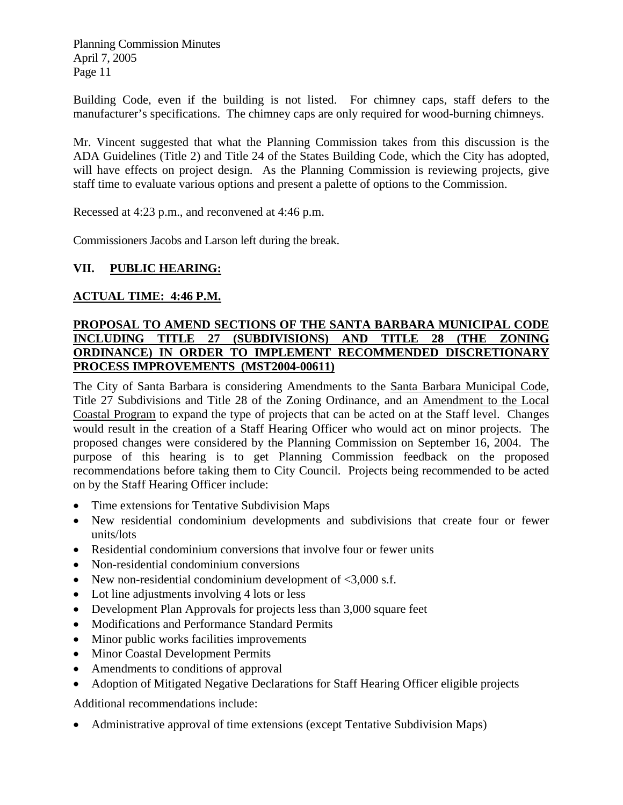Building Code, even if the building is not listed. For chimney caps, staff defers to the manufacturer's specifications. The chimney caps are only required for wood-burning chimneys.

Mr. Vincent suggested that what the Planning Commission takes from this discussion is the ADA Guidelines (Title 2) and Title 24 of the States Building Code, which the City has adopted, will have effects on project design. As the Planning Commission is reviewing projects, give staff time to evaluate various options and present a palette of options to the Commission.

Recessed at 4:23 p.m., and reconvened at 4:46 p.m.

Commissioners Jacobs and Larson left during the break.

# **VII. PUBLIC HEARING:**

# **ACTUAL TIME: 4:46 P.M.**

# **PROPOSAL TO AMEND SECTIONS OF THE SANTA BARBARA MUNICIPAL CODE INCLUDING TITLE 27 (SUBDIVISIONS) AND TITLE 28 (THE ZONING ORDINANCE) IN ORDER TO IMPLEMENT RECOMMENDED DISCRETIONARY PROCESS IMPROVEMENTS (MST2004-00611)**

The City of Santa Barbara is considering Amendments to the Santa Barbara Municipal Code, Title 27 Subdivisions and Title 28 of the Zoning Ordinance, and an Amendment to the Local Coastal Program to expand the type of projects that can be acted on at the Staff level. Changes would result in the creation of a Staff Hearing Officer who would act on minor projects. The proposed changes were considered by the Planning Commission on September 16, 2004. The purpose of this hearing is to get Planning Commission feedback on the proposed recommendations before taking them to City Council. Projects being recommended to be acted on by the Staff Hearing Officer include:

- Time extensions for Tentative Subdivision Maps
- New residential condominium developments and subdivisions that create four or fewer units/lots
- Residential condominium conversions that involve four or fewer units
- Non-residential condominium conversions
- New non-residential condominium development of  $\langle 3,000 \rangle$  s.f.
- Lot line adjustments involving 4 lots or less
- Development Plan Approvals for projects less than 3,000 square feet
- Modifications and Performance Standard Permits
- Minor public works facilities improvements
- Minor Coastal Development Permits
- Amendments to conditions of approval
- Adoption of Mitigated Negative Declarations for Staff Hearing Officer eligible projects

Additional recommendations include:

• Administrative approval of time extensions (except Tentative Subdivision Maps)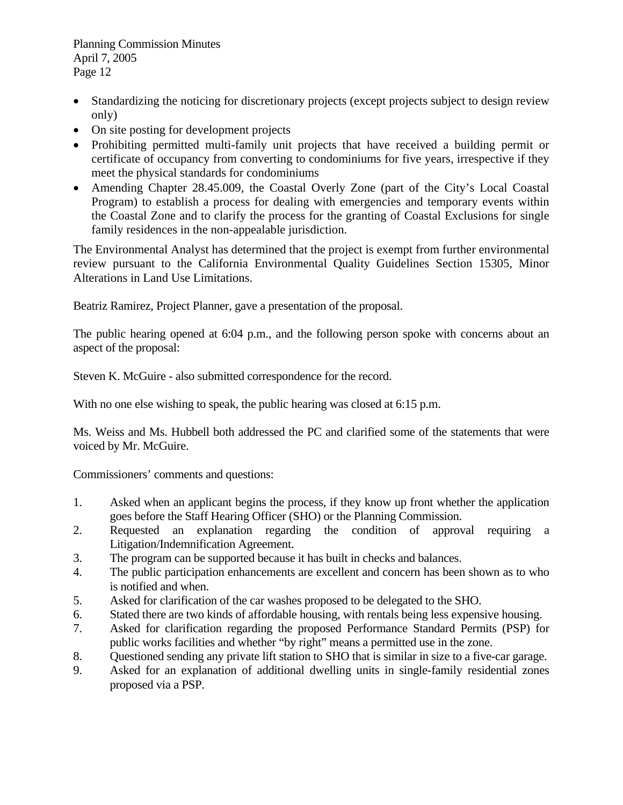- Standardizing the noticing for discretionary projects (except projects subject to design review only)
- On site posting for development projects
- Prohibiting permitted multi-family unit projects that have received a building permit or certificate of occupancy from converting to condominiums for five years, irrespective if they meet the physical standards for condominiums
- Amending Chapter 28.45.009, the Coastal Overly Zone (part of the City's Local Coastal Program) to establish a process for dealing with emergencies and temporary events within the Coastal Zone and to clarify the process for the granting of Coastal Exclusions for single family residences in the non-appealable jurisdiction.

The Environmental Analyst has determined that the project is exempt from further environmental review pursuant to the California Environmental Quality Guidelines Section 15305, Minor Alterations in Land Use Limitations.

Beatriz Ramirez, Project Planner, gave a presentation of the proposal.

The public hearing opened at 6:04 p.m., and the following person spoke with concerns about an aspect of the proposal:

Steven K. McGuire - also submitted correspondence for the record.

With no one else wishing to speak, the public hearing was closed at 6:15 p.m.

Ms. Weiss and Ms. Hubbell both addressed the PC and clarified some of the statements that were voiced by Mr. McGuire.

Commissioners' comments and questions:

- 1. Asked when an applicant begins the process, if they know up front whether the application goes before the Staff Hearing Officer (SHO) or the Planning Commission.
- 2. Requested an explanation regarding the condition of approval requiring a Litigation/Indemnification Agreement.
- 3. The program can be supported because it has built in checks and balances.
- 4. The public participation enhancements are excellent and concern has been shown as to who is notified and when.
- 5. Asked for clarification of the car washes proposed to be delegated to the SHO.
- 6. Stated there are two kinds of affordable housing, with rentals being less expensive housing.
- 7. Asked for clarification regarding the proposed Performance Standard Permits (PSP) for public works facilities and whether "by right" means a permitted use in the zone.
- 8. Questioned sending any private lift station to SHO that is similar in size to a five-car garage.
- 9. Asked for an explanation of additional dwelling units in single-family residential zones proposed via a PSP.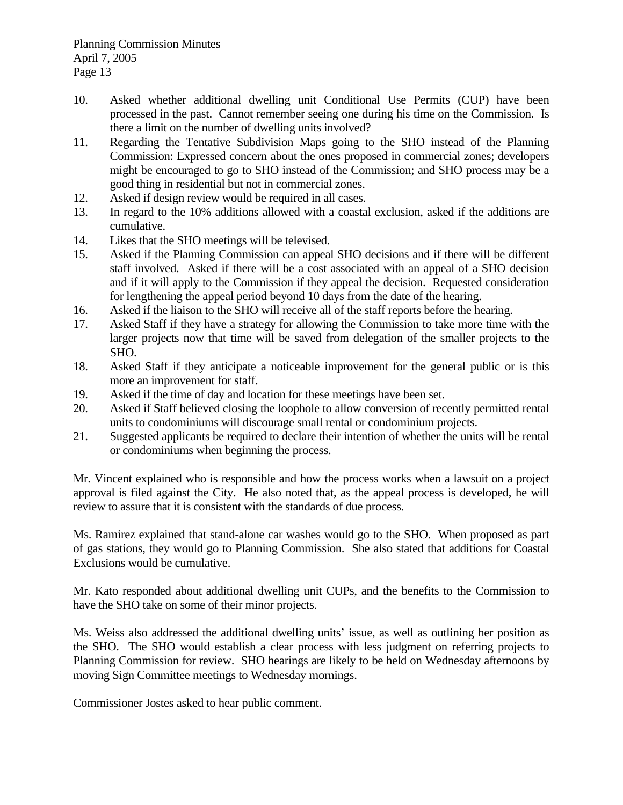- 10. Asked whether additional dwelling unit Conditional Use Permits (CUP) have been processed in the past. Cannot remember seeing one during his time on the Commission. Is there a limit on the number of dwelling units involved?
- 11. Regarding the Tentative Subdivision Maps going to the SHO instead of the Planning Commission: Expressed concern about the ones proposed in commercial zones; developers might be encouraged to go to SHO instead of the Commission; and SHO process may be a good thing in residential but not in commercial zones.
- 12. Asked if design review would be required in all cases.
- 13. In regard to the 10% additions allowed with a coastal exclusion, asked if the additions are cumulative.
- 14. Likes that the SHO meetings will be televised.
- 15. Asked if the Planning Commission can appeal SHO decisions and if there will be different staff involved. Asked if there will be a cost associated with an appeal of a SHO decision and if it will apply to the Commission if they appeal the decision. Requested consideration for lengthening the appeal period beyond 10 days from the date of the hearing.
- 16. Asked if the liaison to the SHO will receive all of the staff reports before the hearing.
- 17. Asked Staff if they have a strategy for allowing the Commission to take more time with the larger projects now that time will be saved from delegation of the smaller projects to the SHO.
- 18. Asked Staff if they anticipate a noticeable improvement for the general public or is this more an improvement for staff.
- 19. Asked if the time of day and location for these meetings have been set.
- 20. Asked if Staff believed closing the loophole to allow conversion of recently permitted rental units to condominiums will discourage small rental or condominium projects.
- 21. Suggested applicants be required to declare their intention of whether the units will be rental or condominiums when beginning the process.

Mr. Vincent explained who is responsible and how the process works when a lawsuit on a project approval is filed against the City. He also noted that, as the appeal process is developed, he will review to assure that it is consistent with the standards of due process.

Ms. Ramirez explained that stand-alone car washes would go to the SHO. When proposed as part of gas stations, they would go to Planning Commission. She also stated that additions for Coastal Exclusions would be cumulative.

Mr. Kato responded about additional dwelling unit CUPs, and the benefits to the Commission to have the SHO take on some of their minor projects.

Ms. Weiss also addressed the additional dwelling units' issue, as well as outlining her position as the SHO. The SHO would establish a clear process with less judgment on referring projects to Planning Commission for review. SHO hearings are likely to be held on Wednesday afternoons by moving Sign Committee meetings to Wednesday mornings.

Commissioner Jostes asked to hear public comment.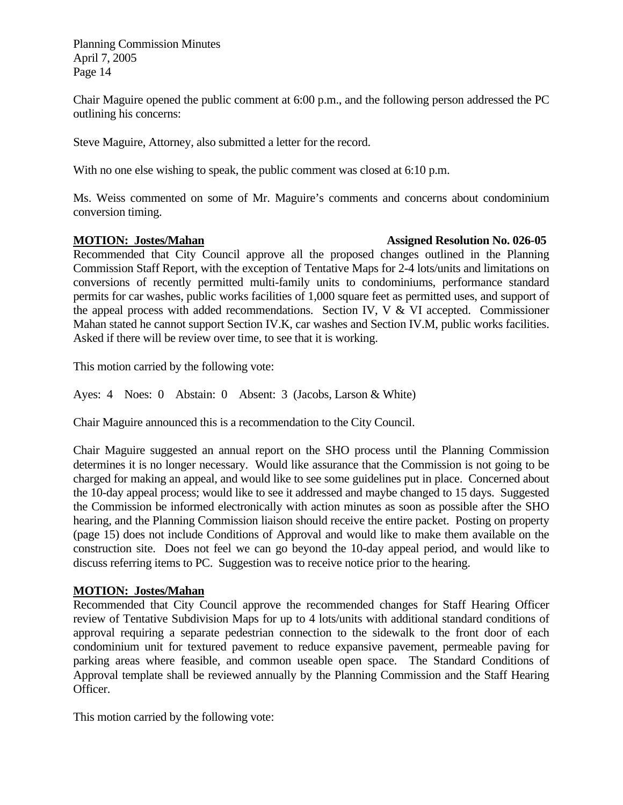Chair Maguire opened the public comment at 6:00 p.m., and the following person addressed the PC outlining his concerns:

Steve Maguire, Attorney, also submitted a letter for the record.

With no one else wishing to speak, the public comment was closed at 6:10 p.m.

Ms. Weiss commented on some of Mr. Maguire's comments and concerns about condominium conversion timing.

#### **MOTION: Jostes/Mahan Assigned Resolution No. 026-05**

Recommended that City Council approve all the proposed changes outlined in the Planning Commission Staff Report, with the exception of Tentative Maps for 2-4 lots/units and limitations on conversions of recently permitted multi-family units to condominiums, performance standard permits for car washes, public works facilities of 1,000 square feet as permitted uses, and support of the appeal process with added recommendations. Section IV, V & VI accepted. Commissioner Mahan stated he cannot support Section IV.K, car washes and Section IV.M, public works facilities. Asked if there will be review over time, to see that it is working.

This motion carried by the following vote:

Ayes: 4 Noes: 0 Abstain: 0 Absent: 3 (Jacobs, Larson & White)

Chair Maguire announced this is a recommendation to the City Council.

Chair Maguire suggested an annual report on the SHO process until the Planning Commission determines it is no longer necessary. Would like assurance that the Commission is not going to be charged for making an appeal, and would like to see some guidelines put in place. Concerned about the 10-day appeal process; would like to see it addressed and maybe changed to 15 days. Suggested the Commission be informed electronically with action minutes as soon as possible after the SHO hearing, and the Planning Commission liaison should receive the entire packet. Posting on property (page 15) does not include Conditions of Approval and would like to make them available on the construction site. Does not feel we can go beyond the 10-day appeal period, and would like to discuss referring items to PC. Suggestion was to receive notice prior to the hearing.

# **MOTION: Jostes/Mahan**

Recommended that City Council approve the recommended changes for Staff Hearing Officer review of Tentative Subdivision Maps for up to 4 lots/units with additional standard conditions of approval requiring a separate pedestrian connection to the sidewalk to the front door of each condominium unit for textured pavement to reduce expansive pavement, permeable paving for parking areas where feasible, and common useable open space. The Standard Conditions of Approval template shall be reviewed annually by the Planning Commission and the Staff Hearing Officer.

This motion carried by the following vote: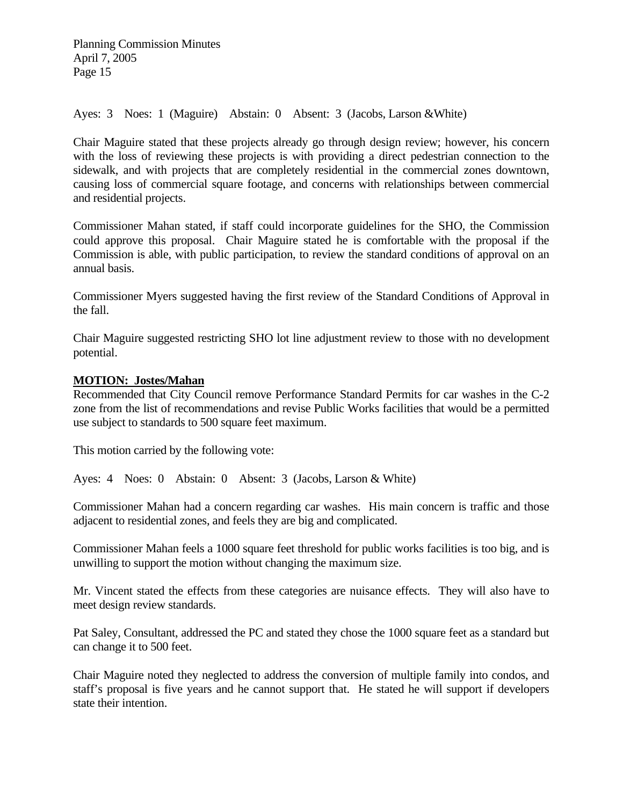Ayes: 3 Noes: 1 (Maguire) Abstain: 0 Absent: 3 (Jacobs, Larson &White)

Chair Maguire stated that these projects already go through design review; however, his concern with the loss of reviewing these projects is with providing a direct pedestrian connection to the sidewalk, and with projects that are completely residential in the commercial zones downtown, causing loss of commercial square footage, and concerns with relationships between commercial and residential projects.

Commissioner Mahan stated, if staff could incorporate guidelines for the SHO, the Commission could approve this proposal. Chair Maguire stated he is comfortable with the proposal if the Commission is able, with public participation, to review the standard conditions of approval on an annual basis.

Commissioner Myers suggested having the first review of the Standard Conditions of Approval in the fall.

Chair Maguire suggested restricting SHO lot line adjustment review to those with no development potential.

### **MOTION: Jostes/Mahan**

Recommended that City Council remove Performance Standard Permits for car washes in the C-2 zone from the list of recommendations and revise Public Works facilities that would be a permitted use subject to standards to 500 square feet maximum.

This motion carried by the following vote:

Ayes: 4 Noes: 0 Abstain: 0 Absent: 3 (Jacobs, Larson & White)

Commissioner Mahan had a concern regarding car washes. His main concern is traffic and those adjacent to residential zones, and feels they are big and complicated.

Commissioner Mahan feels a 1000 square feet threshold for public works facilities is too big, and is unwilling to support the motion without changing the maximum size.

Mr. Vincent stated the effects from these categories are nuisance effects. They will also have to meet design review standards.

Pat Saley, Consultant, addressed the PC and stated they chose the 1000 square feet as a standard but can change it to 500 feet.

Chair Maguire noted they neglected to address the conversion of multiple family into condos, and staff's proposal is five years and he cannot support that. He stated he will support if developers state their intention.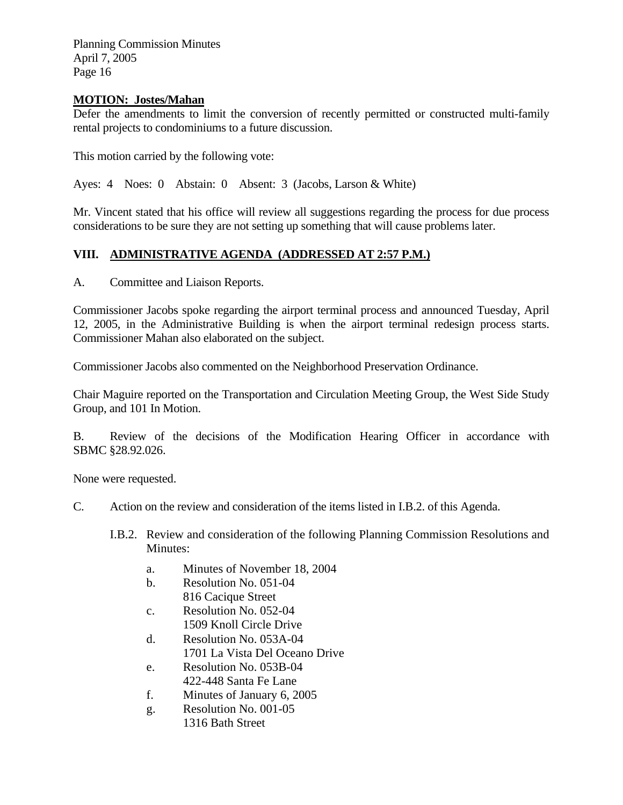# **MOTION: Jostes/Mahan**

Defer the amendments to limit the conversion of recently permitted or constructed multi-family rental projects to condominiums to a future discussion.

This motion carried by the following vote:

Ayes: 4 Noes: 0 Abstain: 0 Absent: 3 (Jacobs, Larson & White)

Mr. Vincent stated that his office will review all suggestions regarding the process for due process considerations to be sure they are not setting up something that will cause problems later.

# **VIII. ADMINISTRATIVE AGENDA (ADDRESSED AT 2:57 P.M.)**

A. Committee and Liaison Reports.

Commissioner Jacobs spoke regarding the airport terminal process and announced Tuesday, April 12, 2005, in the Administrative Building is when the airport terminal redesign process starts. Commissioner Mahan also elaborated on the subject.

Commissioner Jacobs also commented on the Neighborhood Preservation Ordinance.

Chair Maguire reported on the Transportation and Circulation Meeting Group, the West Side Study Group, and 101 In Motion.

B. Review of the decisions of the Modification Hearing Officer in accordance with SBMC §28.92.026.

None were requested.

C. Action on the review and consideration of the items listed in I.B.2. of this Agenda.

I.B.2. Review and consideration of the following Planning Commission Resolutions and Minutes:

- a. Minutes of November 18, 2004
- b. Resolution No. 051-04 816 Cacique Street
- c. Resolution No. 052-04 1509 Knoll Circle Drive
- d. Resolution No. 053A-04
	- 1701 La Vista Del Oceano Drive
- e. Resolution No. 053B-04 422-448 Santa Fe Lane
- f. Minutes of January 6, 2005
- g. Resolution No. 001-05 1316 Bath Street